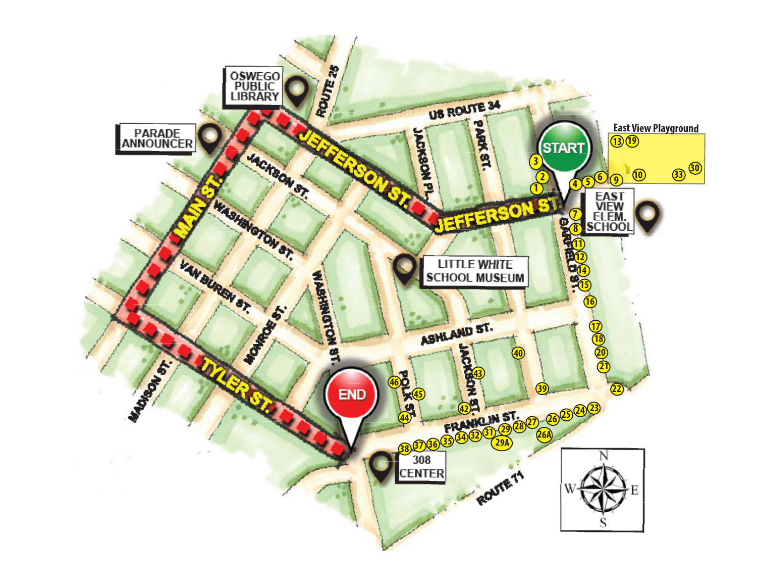